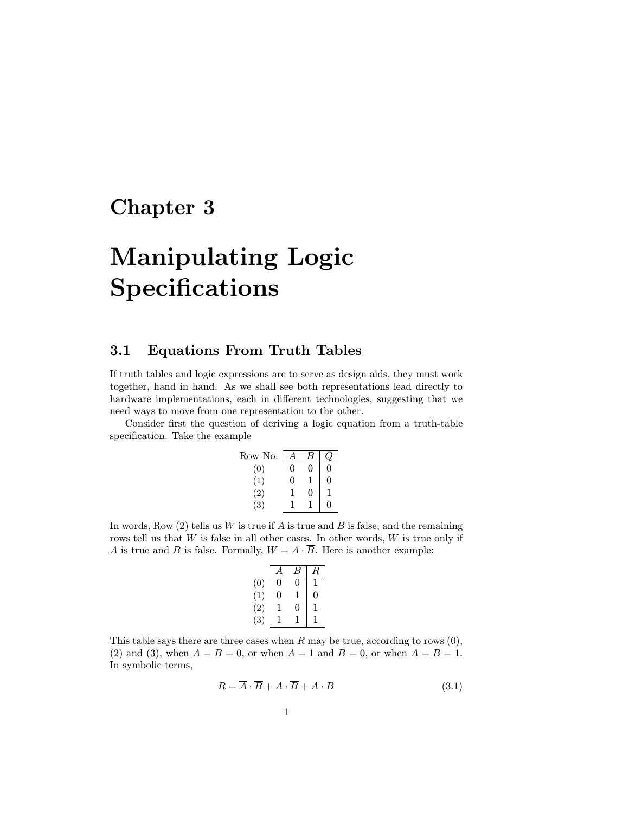# Chapter 3

# Manipulating Logic Specifications

# 3.1 Equations From Truth Tables

If truth tables and logic expressions are to serve as design aids, they must work together, hand in hand. As we shall see both representations lead directly to hardware implementations, each in different technologies, suggesting that we need ways to move from one representation to the other.

Consider first the question of deriving a logic equation from a truth-table specification. Take the example

| Row No. |   |   |   |
|---------|---|---|---|
| (0)     | 0 | 0 | 0 |
| (1)     | 0 |   | 0 |
| (2)     |   | 0 |   |
| (3)     |   |   | 0 |

In words, Row  $(2)$  tells us W is true if A is true and B is false, and the remaining rows tell us that  $W$  is false in all other cases. In other words,  $W$  is true only if A is true and B is false. Formally,  $W = A \cdot \overline{B}$ . Here is another example:

|     |   |   | R |
|-----|---|---|---|
| (0) | O |   |   |
| (1) | 0 |   | 0 |
| (2) |   | 0 |   |
| (3) |   |   |   |

This table says there are three cases when  $R$  may be true, according to rows  $(0)$ , (2) and (3), when  $A = B = 0$ , or when  $A = 1$  and  $B = 0$ , or when  $A = B = 1$ . In symbolic terms,

$$
R = \overline{A} \cdot \overline{B} + A \cdot \overline{B} + A \cdot B \tag{3.1}
$$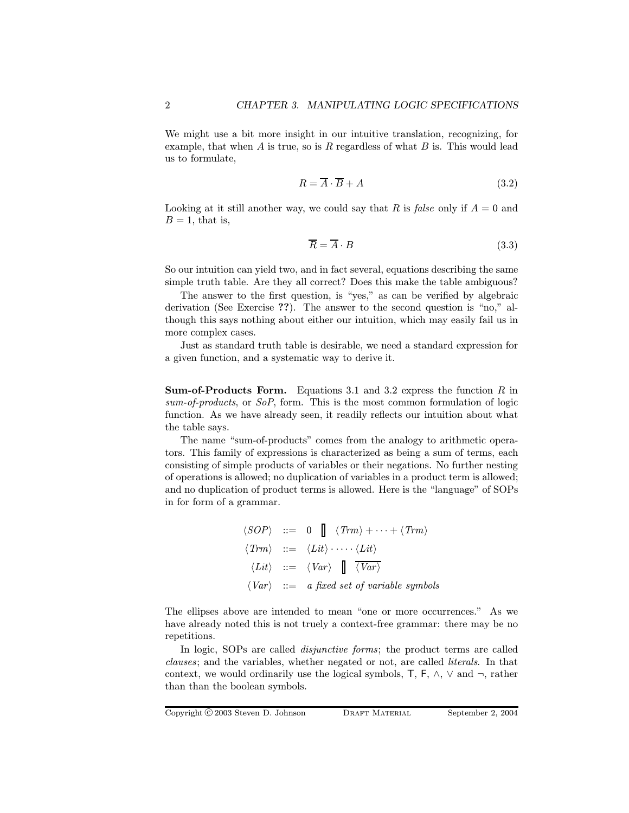We might use a bit more insight in our intuitive translation, recognizing, for example, that when  $A$  is true, so is  $R$  regardless of what  $B$  is. This would lead us to formulate,

$$
R = \overline{A} \cdot \overline{B} + A \tag{3.2}
$$

Looking at it still another way, we could say that R is false only if  $A = 0$  and  $B=1$ , that is,

$$
\overline{R} = \overline{A} \cdot B \tag{3.3}
$$

So our intuition can yield two, and in fact several, equations describing the same simple truth table. Are they all correct? Does this make the table ambiguous?

The answer to the first question, is "yes," as can be verified by algebraic derivation (See Exercise ??). The answer to the second question is "no," although this says nothing about either our intuition, which may easily fail us in more complex cases.

Just as standard truth table is desirable, we need a standard expression for a given function, and a systematic way to derive it.

**Sum-of-Products Form.** Equations 3.1 and 3.2 express the function  $R$  in sum-of-products, or SoP, form. This is the most common formulation of logic function. As we have already seen, it readily reflects our intuition about what the table says.

The name "sum-of-products" comes from the analogy to arithmetic operators. This family of expressions is characterized as being a sum of terms, each consisting of simple products of variables or their negations. No further nesting of operations is allowed; no duplication of variables in a product term is allowed; and no duplication of product terms is allowed. Here is the "language" of SOPs in for form of a grammar.

$$
\langle SOP \rangle ::= 0 \quad \langle Trm \rangle + \cdots + \langle Trm \rangle
$$
  

$$
\langle Trm \rangle ::= \langle Lit \rangle \cdots \langle Lit \rangle
$$
  

$$
\langle Lit \rangle ::= \langle Var \rangle \quad \boxed{\quad \langle Var \rangle}
$$
  

$$
\langle Var \rangle ::= a \text{ fixed set of variable symbols}
$$

The ellipses above are intended to mean "one or more occurrences." As we have already noted this is not truely a context-free grammar: there may be no repetitions.

In logic, SOPs are called *disjunctive forms*; the product terms are called clauses; and the variables, whether negated or not, are called literals. In that context, we would ordinarily use the logical symbols,  $\mathsf{T}$ ,  $\mathsf{F}$ ,  $\wedge$ ,  $\vee$  and  $\neg$ , rather than than the boolean symbols.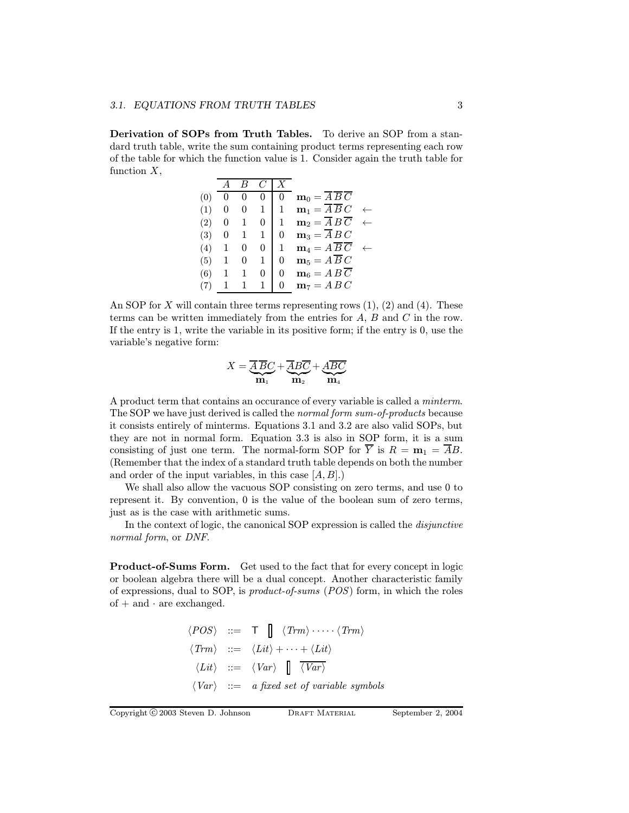Derivation of SOPs from Truth Tables. To derive an SOP from a standard truth table, write the sum containing product terms representing each row of the table for which the function value is 1. Consider again the truth table for function  $X$ ,

| (0) |   |   |   | 0            | $\mathbf{m}_0 = \overline{A} \, \overline{B} \, \overline{C}$ |  |
|-----|---|---|---|--------------|---------------------------------------------------------------|--|
| (1) | 0 | 0 | 1 | $\mathbf{1}$ | $\mathbf{m}_1 = \overline{A} \, \overline{B} \, C$            |  |
| (2) | 0 |   | 0 | $\mathbf{1}$ | $m_2 = \overline{A} B \overline{C}$                           |  |
| (3) | 0 |   | 1 | 0            | $\mathbf{m}_3 = \overline{A} B C$                             |  |
| (4) | 1 | 0 | 0 | $\mathbf{1}$ | $\mathbf{m}_4 = A \, \overline{B} \, \overline{C}$            |  |
| (5) | 1 | 0 | 1 | 0            | $\mathbf{m}_5 = A \overline{B} C$                             |  |
| (6) | 1 |   | 0 | 0            | $\mathbf{m}_6 = A B \overline{C}$                             |  |
|     | 1 |   |   | 0            | $m_7 = A B C$                                                 |  |

An SOP for X will contain three terms representing rows  $(1)$ ,  $(2)$  and  $(4)$ . These terms can be written immediately from the entries for A, B and C in the row. If the entry is 1, write the variable in its positive form; if the entry is 0, use the variable's negative form:

$$
X = \underbrace{\overline{A}}_{\mathbf{m}_1} \overline{BC} + \underbrace{\overline{A}B\overline{C}}_{\mathbf{m}_2} + \underbrace{A\overline{BC}}_{\mathbf{m}_4}
$$

A product term that contains an occurance of every variable is called a minterm. The SOP we have just derived is called the normal form sum-of-products because it consists entirely of minterms. Equations 3.1 and 3.2 are also valid SOPs, but they are not in normal form. Equation 3.3 is also in SOP form, it is a sum consisting of just one term. The normal-form SOP for  $\overline{Y}$  is  $R = \mathbf{m}_1 = \overline{A}B$ . (Remember that the index of a standard truth table depends on both the number and order of the input variables, in this case  $[A, B]$ .)

We shall also allow the vacuous SOP consisting on zero terms, and use 0 to represent it. By convention, 0 is the value of the boolean sum of zero terms, just as is the case with arithmetic sums.

In the context of logic, the canonical SOP expression is called the disjunctive normal form, or DNF.

Product-of-Sums Form. Get used to the fact that for every concept in logic or boolean algebra there will be a dual concept. Another characteristic family of expressions, dual to SOP, is product-of-sums (POS) form, in which the roles of  $+$  and  $\cdot$  are exchanged.

$$
\langle POS \rangle ::= \mathsf{T} \parallel \langle Trm \rangle \cdots \langle Trm \rangle
$$
  

$$
\langle Trm \rangle ::= \langle Lit \rangle + \cdots + \langle Lit \rangle
$$
  

$$
\langle Lit \rangle ::= \langle Var \rangle \parallel \overline{\langle Var \rangle}
$$
  

$$
\langle Var \rangle ::= a \text{ fixed set of variable symbols}
$$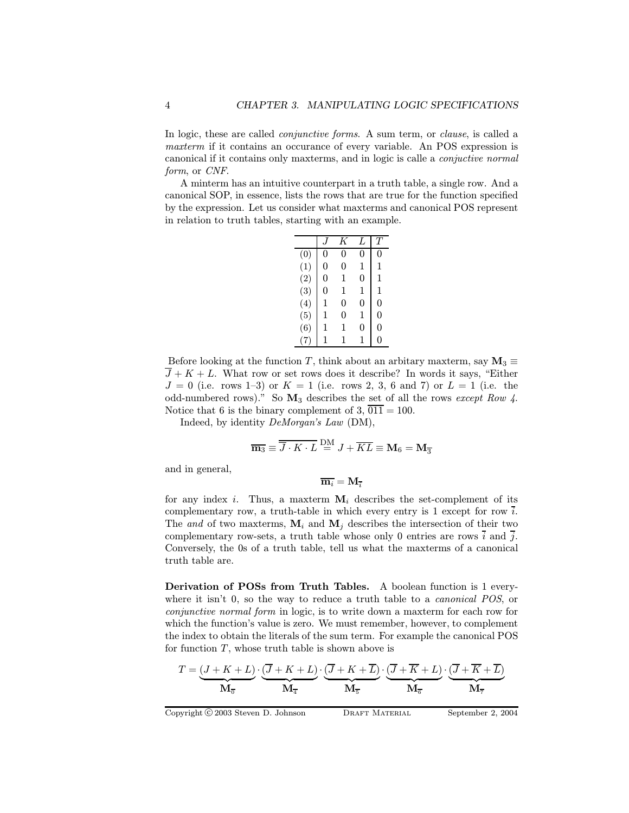In logic, these are called *conjunctive forms*. A sum term, or *clause*, is called a maxterm if it contains an occurance of every variable. An POS expression is canonical if it contains only maxterms, and in logic is calle a conjuctive normal form, or CNF.

A minterm has an intuitive counterpart in a truth table, a single row. And a canonical SOP, in essence, lists the rows that are true for the function specified by the expression. Let us consider what maxterms and canonical POS represent in relation to truth tables, starting with an example.

|     |   | K | L | $T\,$ |
|-----|---|---|---|-------|
| (0) | 0 | 0 | 0 | 0     |
| (1) | 0 | 0 | 1 | 1     |
| (2) | 0 | 1 | 0 | 1     |
| (3) | 0 | 1 | 1 | 1     |
| (4) | 1 | 0 | 0 | 0     |
| (5) | 1 | 0 | 1 | 0     |
| (6) | 1 | 1 | 0 | 0     |
|     | 1 | 1 | 1 | 0     |

Before looking at the function T, think about an arbitary maxterm, say  $M_3 \equiv$  $\overline{J} + K + L$ . What row or set rows does it describe? In words it says, "Either  $J = 0$  (i.e. rows 1–3) or  $K = 1$  (i.e. rows 2, 3, 6 and 7) or  $L = 1$  (i.e. the odd-numbered rows)." So  $\mathbf{M}_3$  describes the set of all the rows except Row 4. Notice that 6 is the binary complement of 3,  $\overline{011} = 100$ .

Indeed, by identity DeMorgan's Law (DM),

$$
\overline{\mathbf{m}_3} \equiv \overline{\overline{J} \cdot K \cdot L} \stackrel{\mathrm{DM}}{=} J + \overline{KL} \equiv \mathbf{M}_6 = \mathbf{M}_{\overline{3}}
$$

and in general,

$$
\overline{\mathbf{m}_{i}}=\mathbf{M}_{\overline{i}}
$$

for any index i. Thus, a maxterm  $M_i$  describes the set-complement of its complementary row, a truth-table in which every entry is 1 except for row  $\overline{i}$ . The and of two maxterms,  $M_i$  and  $M_j$  describes the intersection of their two complementary row-sets, a truth table whose only 0 entries are rows  $\overline{i}$  and  $\overline{j}$ . Conversely, the 0s of a truth table, tell us what the maxterms of a canonical truth table are.

Derivation of POSs from Truth Tables. A boolean function is 1 everywhere it isn't 0, so the way to reduce a truth table to a *canonical POS*, or conjunctive normal form in logic, is to write down a maxterm for each row for which the function's value is zero. We must remember, however, to complement the index to obtain the literals of the sum term. For example the canonical POS for function  $T$ , whose truth table is shown above is

$$
T = \underbrace{(J + K + L)}_{\mathbf{M}_{\overline{\mathbf{0}}}} \cdot \underbrace{(\overline{J} + K + L)}_{\mathbf{M}_{\overline{\mathbf{4}}}} \cdot \underbrace{(\overline{J} + K + \overline{L})}_{\mathbf{M}_{\overline{\mathbf{5}}}} \cdot \underbrace{(\overline{J} + \overline{K} + L)}_{\mathbf{M}_{\overline{\mathbf{6}}}} \cdot \underbrace{(\overline{J} + \overline{K} + \overline{L})}_{\mathbf{M}_{\overline{\mathbf{7}}}}
$$

Copyright C 2003 Steven D. Johnson DRAFT MATERIAL September 2, 2004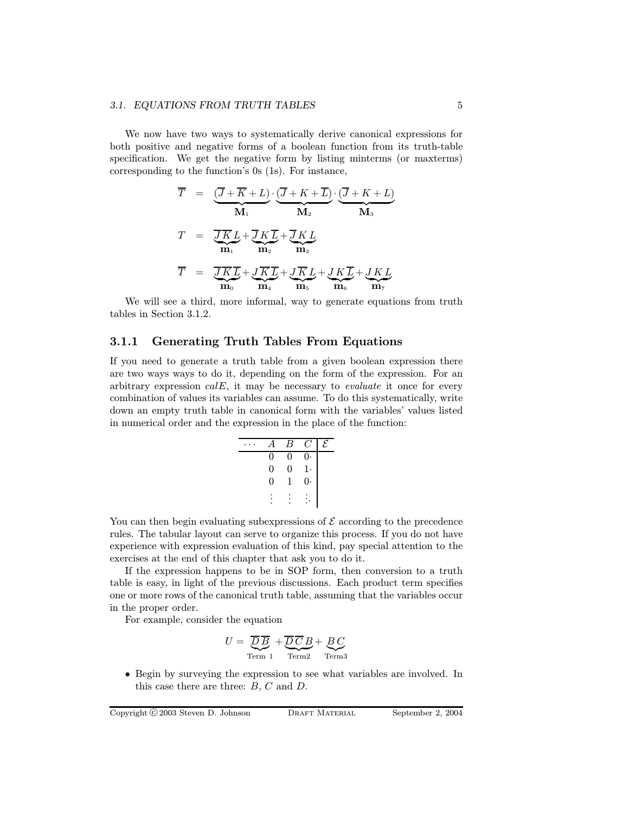#### 3.1. EQUATIONS FROM TRUTH TABLES 5

We now have two ways to systematically derive canonical expressions for both positive and negative forms of a boolean function from its truth-table specification. We get the negative form by listing minterms (or maxterms) corresponding to the function's 0s (1s). For instance,

$$
\overline{T} = \underbrace{\overline{(J + \overline{K} + L)} \cdot (\overline{J + K + L})}_{\mathbf{M}_1} \cdot \underbrace{\overline{(J + K + L)}}_{\mathbf{M}_2}
$$
\n
$$
T = \underbrace{\overline{J \overline{K} L}}_{\mathbf{m}_1} + \underbrace{\overline{J \overline{K} L}}_{\mathbf{m}_2} + \underbrace{\overline{J \overline{K} L}}_{\mathbf{m}_3}
$$
\n
$$
\overline{T} = \underbrace{\overline{J \overline{K} L}}_{\mathbf{m}_0} + \underbrace{\overline{J \overline{K} L}}_{\mathbf{m}_4} + \underbrace{\overline{J \overline{K} L}}_{\mathbf{m}_5} + \underbrace{\overline{J \overline{K} L}}_{\mathbf{m}_6} + \underbrace{\overline{J \overline{K} L}}_{\mathbf{m}_7}
$$

We will see a third, more informal, way to generate equations from truth tables in Section 3.1.2.

#### 3.1.1 Generating Truth Tables From Equations

If you need to generate a truth table from a given boolean expression there are two ways ways to do it, depending on the form of the expression. For an arbitrary expression  $calE$ , it may be necessary to *evaluate* it once for every combination of values its variables can assume. To do this systematically, write down an empty truth table in canonical form with the variables' values listed in numerical order and the expression in the place of the function:

|                | В              | G.             | E |
|----------------|----------------|----------------|---|
| 0              | 0              | $\overline{0}$ |   |
| $\overline{0}$ | $\overline{0}$ | $1\cdot$       |   |
| 0              | 1              | $\overline{0}$ |   |
|                |                |                |   |
|                |                |                |   |

You can then begin evaluating subexpressions of  $\mathcal E$  according to the precedence rules. The tabular layout can serve to organize this process. If you do not have experience with expression evaluation of this kind, pay special attention to the exercises at the end of this chapter that ask you to do it.

If the expression happens to be in SOP form, then conversion to a truth table is easy, in light of the previous discussions. Each product term specifies one or more rows of the canonical truth table, assuming that the variables occur in the proper order.

For example, consider the equation

$$
U = \underbrace{\overline{D}\,\overline{B}}_{\text{Term 1}} + \underbrace{\overline{D}\,\overline{C}\,B}_{\text{Term 2}} + \underbrace{BC}_{\text{Term 3}}
$$

• Begin by surveying the expression to see what variables are involved. In this case there are three:  $B, C$  and  $D$ .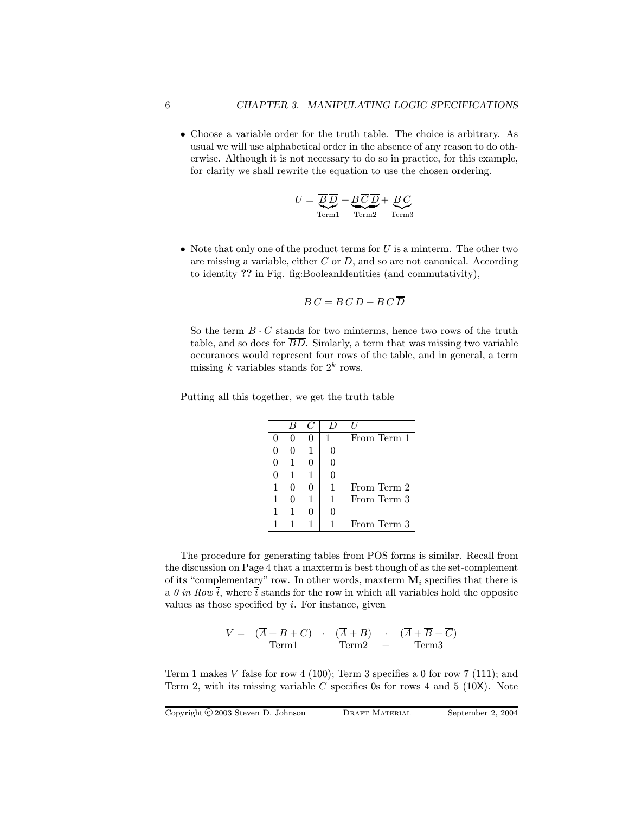• Choose a variable order for the truth table. The choice is arbitrary. As usual we will use alphabetical order in the absence of any reason to do otherwise. Although it is not necessary to do so in practice, for this example, for clarity we shall rewrite the equation to use the chosen ordering.

$$
U = \underbrace{\overline{B} \, \overline{D}}_{\text{Term1}} + \underbrace{B \, \overline{C} \, \overline{D}}_{\text{Term2}} + \underbrace{B \, C}_{\text{Term3}}
$$

• Note that only one of the product terms for  $U$  is a minterm. The other two are missing a variable, either  $C$  or  $D$ , and so are not canonical. According to identity ?? in Fig. fig:BooleanIdentities (and commutativity),

$$
B\,C = B\,C\,D + B\,C\,\overline{D}
$$

So the term  $B \cdot C$  stands for two minterms, hence two rows of the truth table, and so does for  $\overline{BD}$ . Simlarly, a term that was missing two variable occurances would represent four rows of the table, and in general, a term missing k variables stands for  $2^k$  rows.

Putting all this together, we get the truth table

|                   |   | From Term 1 |
|-------------------|---|-------------|
|                   |   |             |
|                   |   |             |
|                   | 0 |             |
|                   |   | From Term 2 |
| $\mathbf{\Omega}$ | 1 | From Term 3 |
|                   | 0 |             |
|                   |   | From Term 3 |

The procedure for generating tables from POS forms is similar. Recall from the discussion on Page 4 that a maxterm is best though of as the set-complement of its "complementary" row. In other words, maxterm  $M_i$  specifies that there is a 0 in Row i, where i stands for the row in which all variables hold the opposite values as those specified by  $i$ . For instance, given

$$
V = (\overline{A} + B + C) \cdot (\overline{A} + B) \cdot (\overline{A} + \overline{B} + \overline{C})
$$
  
Term1 \tTerm2 + Term3

Term 1 makes V false for row 4 (100); Term 3 specifies a 0 for row 7 (111); and Term 2, with its missing variable  $C$  specifies 0s for rows 4 and 5 (10X). Note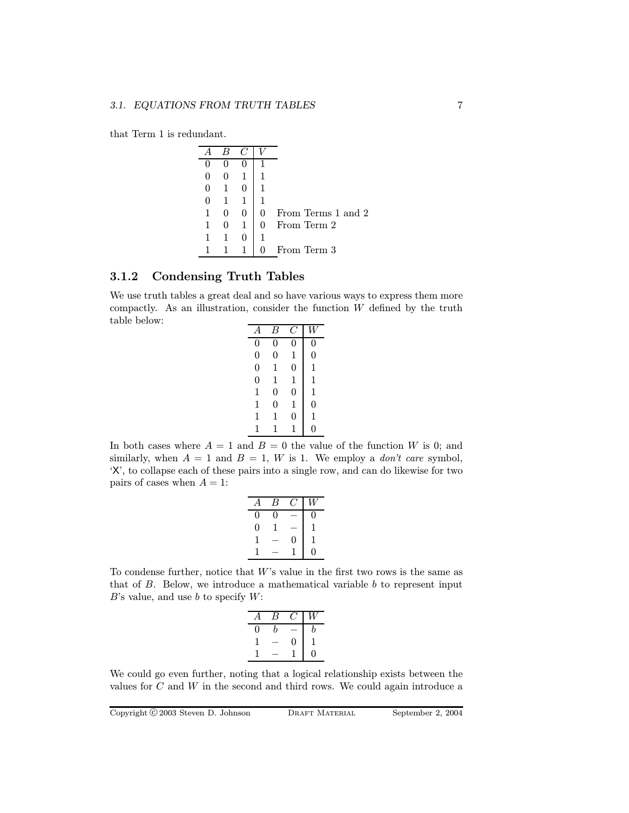that Term 1 is redundant.

| U | 0 |   |                    |
|---|---|---|--------------------|
| 0 |   |   |                    |
| 0 |   |   |                    |
|   | 0 | O | From Terms 1 and 2 |
|   |   |   | From Term 2        |
|   |   |   |                    |
|   |   |   | From Term 3        |

#### 3.1.2 Condensing Truth Tables

We use truth tables a great deal and so have various ways to express them more compactly. As an illustration, consider the function  $W$  defined by the truth table below:

| А              | B              |                |                |
|----------------|----------------|----------------|----------------|
| 0              | 0              | 0              | 0              |
| $\overline{0}$ | $\overline{0}$ | 1              | 0              |
| $\overline{0}$ | 1              | $\overline{0}$ | 1              |
| $\overline{0}$ | 1              | 1              | 1              |
| 1              | $\overline{0}$ | $\overline{0}$ | 1              |
| 1              | $\overline{0}$ | 1              | $\overline{0}$ |
| 1              | 1              | 0              | 1              |
| 1              | 1              | 1              | 0              |

In both cases where  $A = 1$  and  $B = 0$  the value of the function W is 0; and similarly, when  $A = 1$  and  $B = 1$ , W is 1. We employ a *don't care* symbol, 'X', to collapse each of these pairs into a single row, and can do likewise for two pairs of cases when  $A = 1$ :

|                | В |   | W |
|----------------|---|---|---|
| $\Omega$       | 0 |   | 0 |
| $\overline{0}$ | 1 |   | 1 |
| 1              |   | 0 | 1 |
| I              |   |   | 0 |
|                |   |   |   |

To condense further, notice that  $W$ 's value in the first two rows is the same as that of  $B$ . Below, we introduce a mathematical variable  $b$  to represent input  $B$ 's value, and use b to specify  $W$ :

|    | B |              |   |
|----|---|--------------|---|
| 11 | h |              | b |
|    |   | $\mathbf{0}$ |   |
|    |   |              | 0 |

We could go even further, noting that a logical relationship exists between the values for  $C$  and  $W$  in the second and third rows. We could again introduce a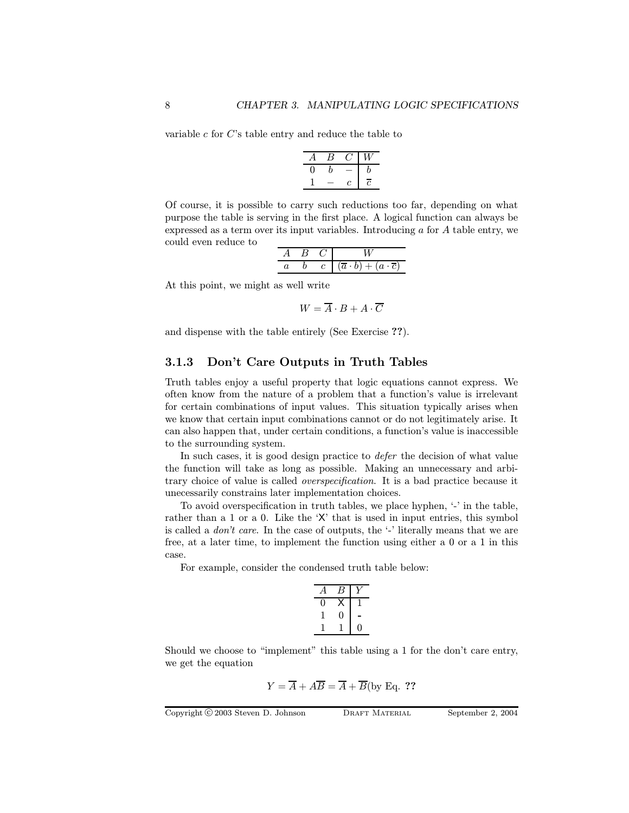variable  $c$  for  $C$ 's table entry and reduce the table to

| А | В |   | Ā7 |
|---|---|---|----|
| J | h |   | h  |
|   |   | c | Ĉ  |

Of course, it is possible to carry such reductions too far, depending on what purpose the table is serving in the first place. A logical function can always be expressed as a term over its input variables. Introducing a for A table entry, we could even reduce to

|  | $\sim$<br>$+$ |
|--|---------------|

At this point, we might as well write

 $W = \overline{A} \cdot B + A \cdot \overline{C}$ 

and dispense with the table entirely (See Exercise ??).

#### 3.1.3 Don't Care Outputs in Truth Tables

Truth tables enjoy a useful property that logic equations cannot express. We often know from the nature of a problem that a function's value is irrelevant for certain combinations of input values. This situation typically arises when we know that certain input combinations cannot or do not legitimately arise. It can also happen that, under certain conditions, a function's value is inaccessible to the surrounding system.

In such cases, it is good design practice to *defer* the decision of what value the function will take as long as possible. Making an unnecessary and arbitrary choice of value is called overspecification. It is a bad practice because it unecessarily constrains later implementation choices.

To avoid overspecification in truth tables, we place hyphen, '-' in the table, rather than a 1 or a 0. Like the 'X' that is used in input entries, this symbol is called a *don't care*. In the case of outputs, the  $\cdot$  literally means that we are free, at a later time, to implement the function using either a 0 or a 1 in this case.

For example, consider the condensed truth table below:

| T | t |    |
|---|---|----|
|   |   | J) |

Should we choose to "implement" this table using a 1 for the don't care entry, we get the equation

$$
Y = \overline{A} + A\overline{B} = \overline{A} + \overline{B}
$$
(by Eq. ??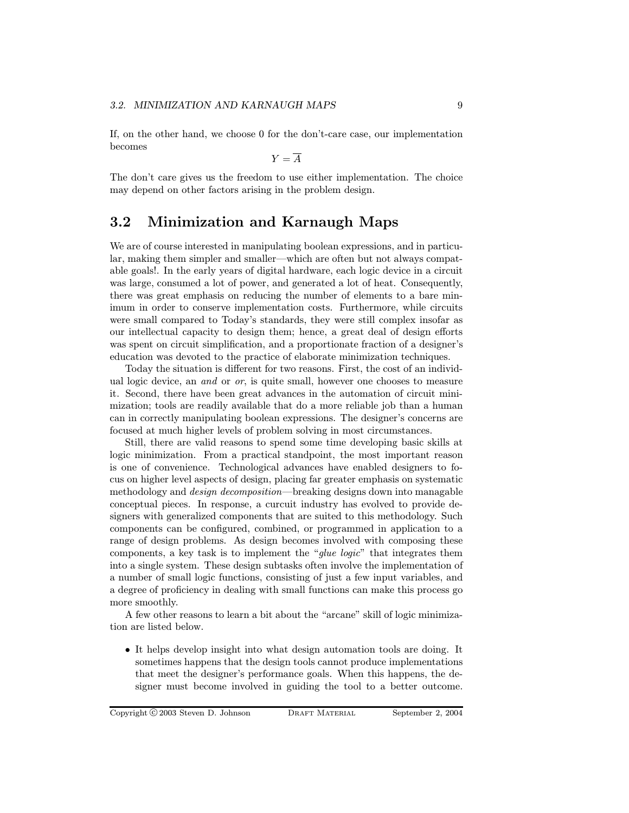If, on the other hand, we choose 0 for the don't-care case, our implementation becomes

$$
Y = \overline{A}
$$

The don't care gives us the freedom to use either implementation. The choice may depend on other factors arising in the problem design.

# 3.2 Minimization and Karnaugh Maps

We are of course interested in manipulating boolean expressions, and in particular, making them simpler and smaller—which are often but not always compatable goals!. In the early years of digital hardware, each logic device in a circuit was large, consumed a lot of power, and generated a lot of heat. Consequently, there was great emphasis on reducing the number of elements to a bare minimum in order to conserve implementation costs. Furthermore, while circuits were small compared to Today's standards, they were still complex insofar as our intellectual capacity to design them; hence, a great deal of design efforts was spent on circuit simplification, and a proportionate fraction of a designer's education was devoted to the practice of elaborate minimization techniques.

Today the situation is different for two reasons. First, the cost of an individual logic device, an and or or, is quite small, however one chooses to measure it. Second, there have been great advances in the automation of circuit minimization; tools are readily available that do a more reliable job than a human can in correctly manipulating boolean expressions. The designer's concerns are focused at much higher levels of problem solving in most circumstances.

Still, there are valid reasons to spend some time developing basic skills at logic minimization. From a practical standpoint, the most important reason is one of convenience. Technological advances have enabled designers to focus on higher level aspects of design, placing far greater emphasis on systematic methodology and design decomposition—breaking designs down into managable conceptual pieces. In response, a curcuit industry has evolved to provide designers with generalized components that are suited to this methodology. Such components can be configured, combined, or programmed in application to a range of design problems. As design becomes involved with composing these components, a key task is to implement the "glue logic" that integrates them into a single system. These design subtasks often involve the implementation of a number of small logic functions, consisting of just a few input variables, and a degree of proficiency in dealing with small functions can make this process go more smoothly.

A few other reasons to learn a bit about the "arcane" skill of logic minimization are listed below.

• It helps develop insight into what design automation tools are doing. It sometimes happens that the design tools cannot produce implementations that meet the designer's performance goals. When this happens, the designer must become involved in guiding the tool to a better outcome.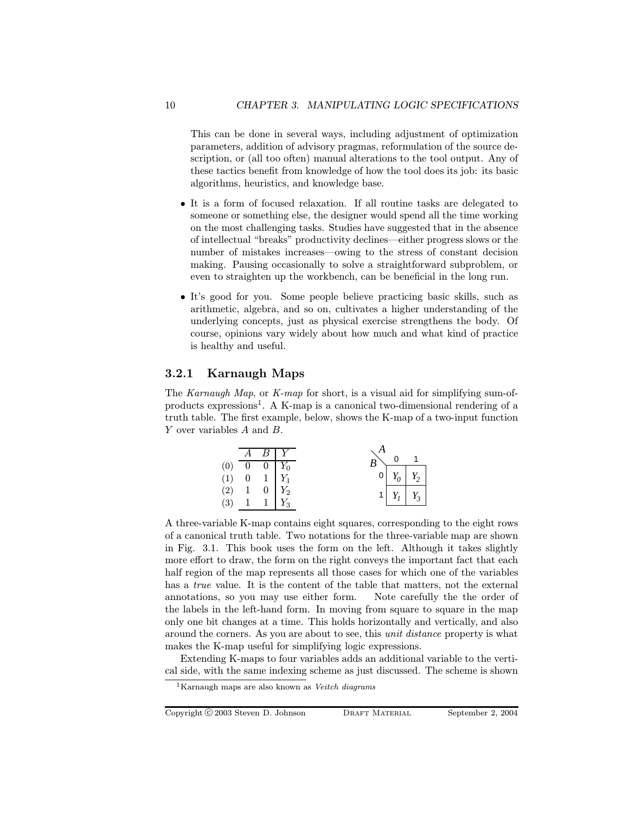This can be done in several ways, including adjustment of optimization parameters, addition of advisory pragmas, reformulation of the source description, or (all too often) manual alterations to the tool output. Any of these tactics benefit from knowledge of how the tool does its job: its basic algorithms, heuristics, and knowledge base.

- It is a form of focused relaxation. If all routine tasks are delegated to someone or something else, the designer would spend all the time working on the most challenging tasks. Studies have suggested that in the absence of intellectual "breaks" productivity declines—either progress slows or the number of mistakes increases—owing to the stress of constant decision making. Pausing occasionally to solve a straightforward subproblem, or even to straighten up the workbench, can be beneficial in the long run.
- It's good for you. Some people believe practicing basic skills, such as arithmetic, algebra, and so on, cultivates a higher understanding of the underlying concepts, just as physical exercise strengthens the body. Of course, opinions vary widely about how much and what kind of practice is healthy and useful.

#### 3.2.1 Karnaugh Maps

The Karnaugh Map, or K-map for short, is a visual aid for simplifying sum-ofproducts expressions<sup>1</sup>. A K-map is a canonical two-dimensional rendering of a truth table. The first example, below, shows the K-map of a two-input function Y over variables A and B.

|                                  | $\overline{A}$ | $B \, \, Y$                                                                                                               | $\overline{B}^{\searrow}$ |                       |  |
|----------------------------------|----------------|---------------------------------------------------------------------------------------------------------------------------|---------------------------|-----------------------|--|
|                                  |                |                                                                                                                           | 0                         | $Y_0 \mid Y_2$        |  |
| $(0)$<br>$(1)$<br>$(2)$<br>$(3)$ |                | $\begin{tabular}{ c c c } \hline 0 & 0 & Y_0 \\ \hline 0 & 1 & Y_1 \\ 1 & 0 & Y_2 \\ 1 & 1 & Y_3 \\ \hline \end{tabular}$ |                           | $1 \mid Y_1 \mid Y_3$ |  |

A three-variable K-map contains eight squares, corresponding to the eight rows of a canonical truth table. Two notations for the three-variable map are shown in Fig. 3.1. This book uses the form on the left. Although it takes slightly more effort to draw, the form on the right conveys the important fact that each half region of the map represents all those cases for which one of the variables has a *true* value. It is the content of the table that matters, not the external annotations, so you may use either form. Note carefully the the order of the labels in the left-hand form. In moving from square to square in the map only one bit changes at a time. This holds horizontally and vertically, and also around the corners. As you are about to see, this unit distance property is what makes the K-map useful for simplifying logic expressions.

Extending K-maps to four variables adds an additional variable to the vertical side, with the same indexing scheme as just discussed. The scheme is shown

 $1$ Karnaugh maps are also known as Veitch diagrams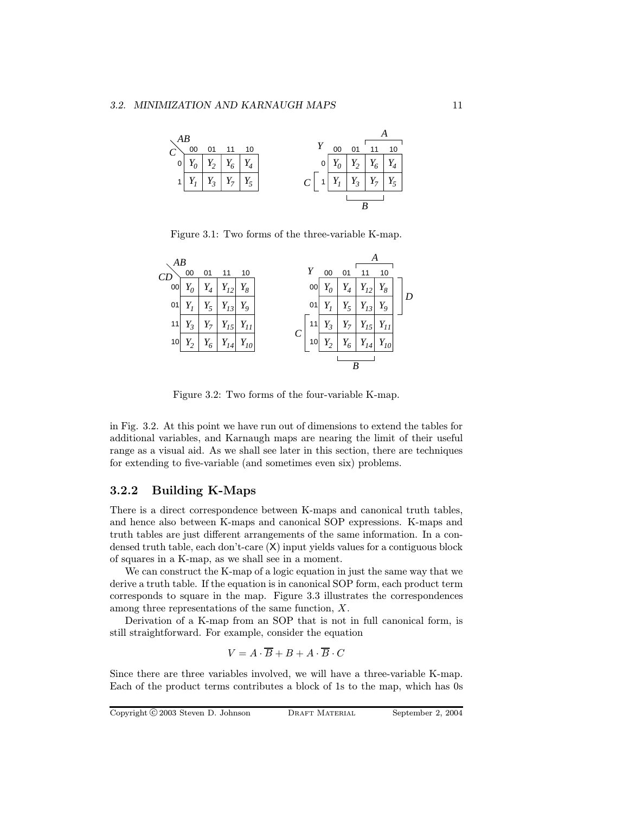

Figure 3.1: Two forms of the three-variable K-map.



Figure 3.2: Two forms of the four-variable K-map.

in Fig. 3.2. At this point we have run out of dimensions to extend the tables for additional variables, and Karnaugh maps are nearing the limit of their useful range as a visual aid. As we shall see later in this section, there are techniques for extending to five-variable (and sometimes even six) problems.

#### 3.2.2 Building K-Maps

There is a direct correspondence between K-maps and canonical truth tables, and hence also between K-maps and canonical SOP expressions. K-maps and truth tables are just different arrangements of the same information. In a condensed truth table, each don't-care (X) input yields values for a contiguous block of squares in a K-map, as we shall see in a moment.

We can construct the K-map of a logic equation in just the same way that we derive a truth table. If the equation is in canonical SOP form, each product term corresponds to square in the map. Figure 3.3 illustrates the correspondences among three representations of the same function, X.

Derivation of a K-map from an SOP that is not in full canonical form, is still straightforward. For example, consider the equation

$$
V = A \cdot \overline{B} + B + A \cdot \overline{B} \cdot C
$$

Since there are three variables involved, we will have a three-variable K-map. Each of the product terms contributes a block of 1s to the map, which has 0s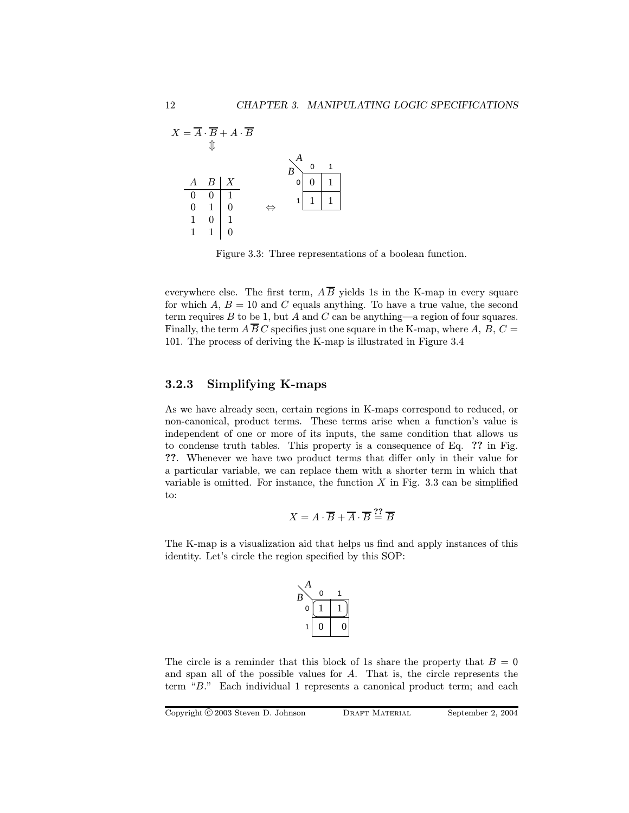

Figure 3.3: Three representations of a boolean function.

everywhere else. The first term,  $\overline{AB}$  yields 1s in the K-map in every square for which  $A, B = 10$  and C equals anything. To have a true value, the second term requires  $B$  to be 1, but  $A$  and  $C$  can be anything—a region of four squares. Finally, the term  $\overline{AB}C$  specifies just one square in the K-map, where A, B,  $C =$ 101. The process of deriving the K-map is illustrated in Figure 3.4

#### 3.2.3 Simplifying K-maps

As we have already seen, certain regions in K-maps correspond to reduced, or non-canonical, product terms. These terms arise when a function's value is independent of one or more of its inputs, the same condition that allows us to condense truth tables. This property is a consequence of Eq. ?? in Fig. ??. Whenever we have two product terms that differ only in their value for a particular variable, we can replace them with a shorter term in which that variable is omitted. For instance, the function  $X$  in Fig. 3.3 can be simplified to:

$$
X = A \cdot \overline{B} + \overline{A} \cdot \overline{B} \stackrel{??}{=} \overline{B}
$$

The K-map is a visualization aid that helps us find and apply instances of this identity. Let's circle the region specified by this SOP:



The circle is a reminder that this block of 1s share the property that  $B = 0$ and span all of the possible values for A. That is, the circle represents the term "B." Each individual 1 represents a canonical product term; and each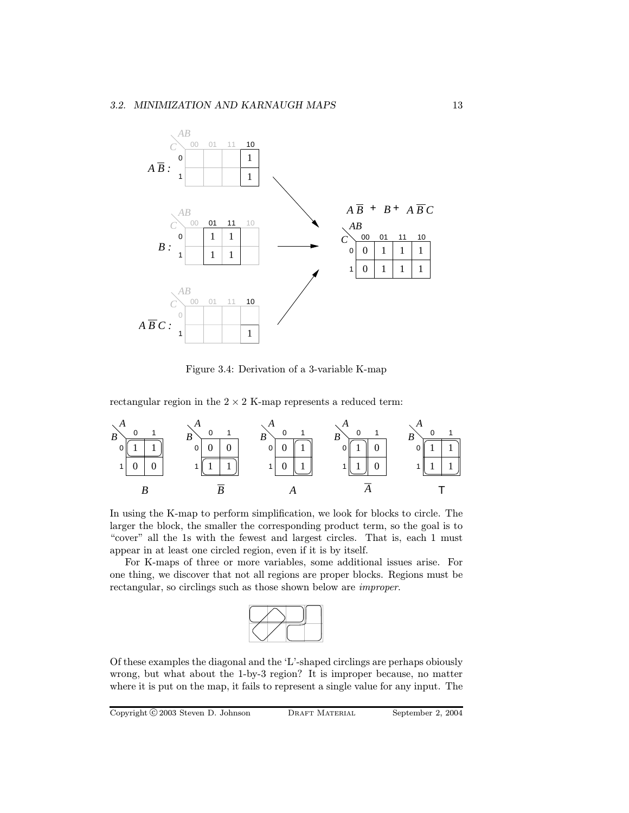

Figure 3.4: Derivation of a 3-variable K-map

rectangular region in the  $2 \times 2$  K-map represents a reduced term:



In using the K-map to perform simplification, we look for blocks to circle. The larger the block, the smaller the corresponding product term, so the goal is to "cover" all the 1s with the fewest and largest circles. That is, each 1 must appear in at least one circled region, even if it is by itself.

For K-maps of three or more variables, some additional issues arise. For one thing, we discover that not all regions are proper blocks. Regions must be rectangular, so circlings such as those shown below are improper.



Of these examples the diagonal and the 'L'-shaped circlings are perhaps obiously wrong, but what about the 1-by-3 region? It is improper because, no matter where it is put on the map, it fails to represent a single value for any input. The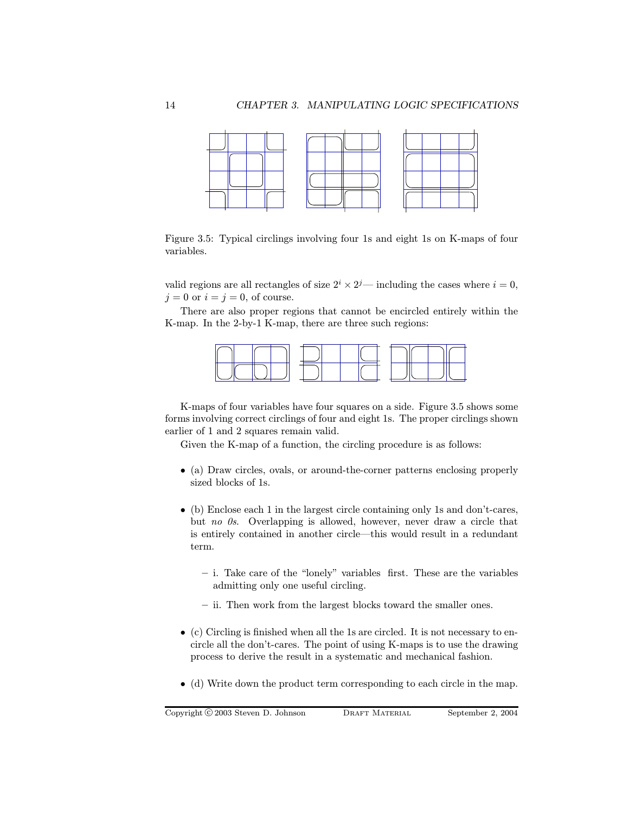

Figure 3.5: Typical circlings involving four 1s and eight 1s on K-maps of four variables.

valid regions are all rectangles of size  $2^{i} \times 2^{j}$ — including the cases where  $i = 0$ ,  $i = 0$  or  $i = j = 0$ , of course.

There are also proper regions that cannot be encircled entirely within the K-map. In the 2-by-1 K-map, there are three such regions:



K-maps of four variables have four squares on a side. Figure 3.5 shows some forms involving correct circlings of four and eight 1s. The proper circlings shown earlier of 1 and 2 squares remain valid.

Given the K-map of a function, the circling procedure is as follows:

- (a) Draw circles, ovals, or around-the-corner patterns enclosing properly sized blocks of 1s.
- (b) Enclose each 1 in the largest circle containing only 1s and don't-cares, but no 0s. Overlapping is allowed, however, never draw a circle that is entirely contained in another circle—this would result in a redundant term.
	- i. Take care of the "lonely" variables first. These are the variables admitting only one useful circling.
	- ii. Then work from the largest blocks toward the smaller ones.
- (c) Circling is finished when all the 1s are circled. It is not necessary to encircle all the don't-cares. The point of using K-maps is to use the drawing process to derive the result in a systematic and mechanical fashion.
- (d) Write down the product term corresponding to each circle in the map.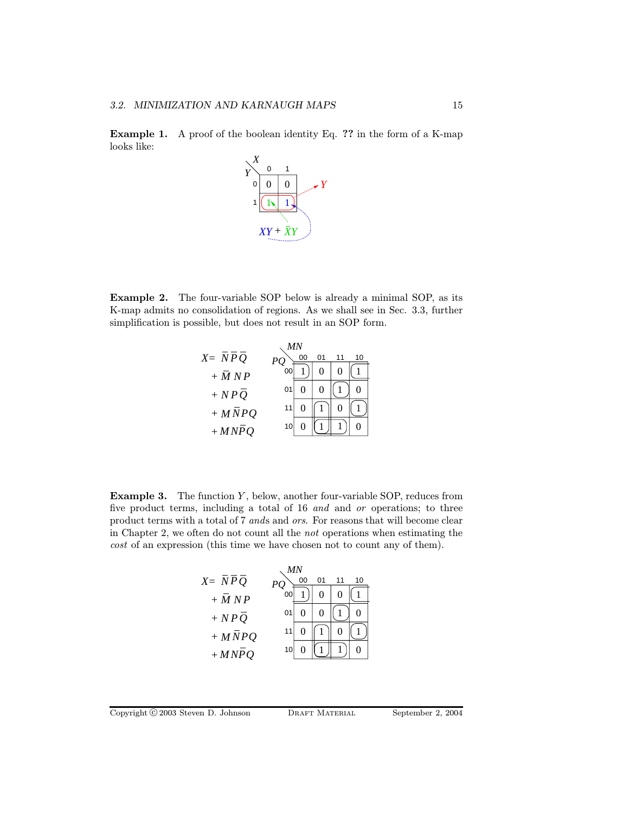Example 1. A proof of the boolean identity Eq. ?? in the form of a K-map looks like:



Example 2. The four-variable SOP below is already a minimal SOP, as its K-map admits no consolidation of regions. As we shall see in Sec. 3.3, further simplification is possible, but does not result in an SOP form.

*MN*

|           |    | MΝ |    |    |    |
|-----------|----|----|----|----|----|
| $X = NPQ$ |    | 00 | 01 | 11 | 10 |
| $+ M N P$ |    |    |    |    |    |
| $+ NPQ$   | 01 |    | 0  |    |    |
| $+ MNPQ$  |    |    |    | 0  |    |
| $+ MNPQ$  | 10 |    |    |    |    |

**Example 3.** The function  $Y$ , below, another four-variable SOP, reduces from five product terms, including a total of 16 and and or operations; to three product terms with a total of 7 ands and ors. For reasons that will become clear in Chapter 2, we often do not count all the not operations when estimating the cost of an expression (this time we have chosen not to count any of them).

| ΜN        |    |    |    |    |    |  |  |
|-----------|----|----|----|----|----|--|--|
| $X = NPQ$ |    | 00 | 01 | 11 | 10 |  |  |
| $+ M N P$ |    |    | 0  | 0  |    |  |  |
| $+ NPQ$   | 01 |    |    |    |    |  |  |
| $+ MNPQ$  | 11 |    |    | 0  |    |  |  |
| $+ MNPQ$  | 10 |    |    |    |    |  |  |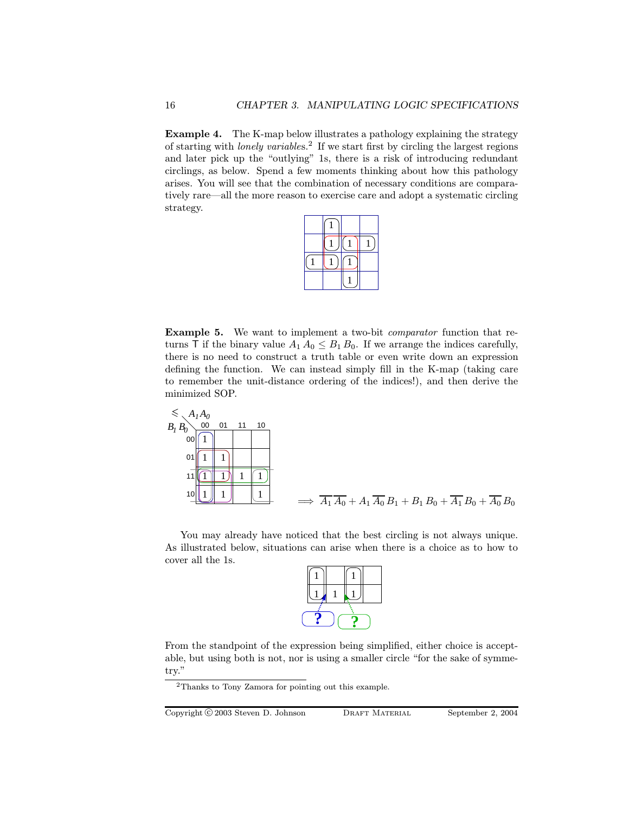Example 4. The K-map below illustrates a pathology explaining the strategy of starting with *lonely variables*.<sup>2</sup> If we start first by circling the largest regions and later pick up the "outlying" 1s, there is a risk of introducing redundant circlings, as below. Spend a few moments thinking about how this pathology arises. You will see that the combination of necessary conditions are comparatively rare—all the more reason to exercise care and adopt a systematic circling strategy.

Example 5. We want to implement a two-bit comparator function that returns T if the binary value  $A_1 A_0 \leq B_1 B_0$ . If we arrange the indices carefully, there is no need to construct a truth table or even write down an expression defining the function. We can instead simply fill in the K-map (taking care to remember the unit-distance ordering of the indices!), and then derive the minimized SOP.



You may already have noticed that the best circling is not always unique. As illustrated below, situations can arise when there is a choice as to how to cover all the 1s.

From the standpoint of the expression being simplified, either choice is acceptable, but using both is not, nor is using a smaller circle "for the sake of symmetry."

Copyright C 2003 Steven D. Johnson DRAFT MATERIAL September 2, 2004

<sup>2</sup>Thanks to Tony Zamora for pointing out this example.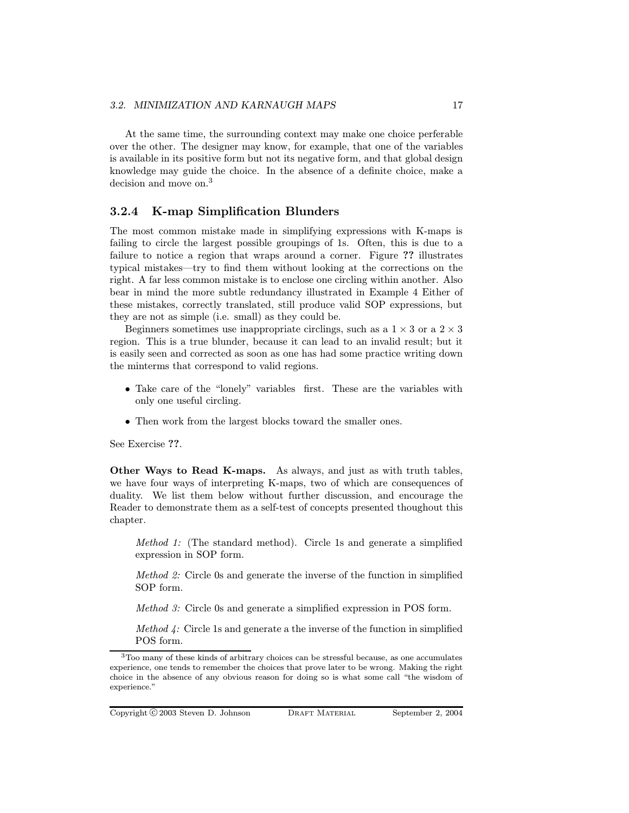At the same time, the surrounding context may make one choice perferable over the other. The designer may know, for example, that one of the variables is available in its positive form but not its negative form, and that global design knowledge may guide the choice. In the absence of a definite choice, make a decision and move on.<sup>3</sup>

#### 3.2.4 K-map Simplification Blunders

The most common mistake made in simplifying expressions with K-maps is failing to circle the largest possible groupings of 1s. Often, this is due to a failure to notice a region that wraps around a corner. Figure ?? illustrates typical mistakes—try to find them without looking at the corrections on the right. A far less common mistake is to enclose one circling within another. Also bear in mind the more subtle redundancy illustrated in Example 4 Either of these mistakes, correctly translated, still produce valid SOP expressions, but they are not as simple (i.e. small) as they could be.

Beginners sometimes use inappropriate circlings, such as a  $1 \times 3$  or a  $2 \times 3$ region. This is a true blunder, because it can lead to an invalid result; but it is easily seen and corrected as soon as one has had some practice writing down the minterms that correspond to valid regions.

- Take care of the "lonely" variables first. These are the variables with only one useful circling.
- Then work from the largest blocks toward the smaller ones.

See Exercise ??.

Other Ways to Read K-maps. As always, and just as with truth tables, we have four ways of interpreting K-maps, two of which are consequences of duality. We list them below without further discussion, and encourage the Reader to demonstrate them as a self-test of concepts presented thoughout this chapter.

Method 1: (The standard method). Circle 1s and generate a simplified expression in SOP form.

Method 2: Circle 0s and generate the inverse of the function in simplified SOP form.

Method 3: Circle 0s and generate a simplified expression in POS form.

Method 4: Circle 1s and generate a the inverse of the function in simplified POS form.

<sup>&</sup>lt;sup>3</sup>Too many of these kinds of arbitrary choices can be stressful because, as one accumulates experience, one tends to remember the choices that prove later to be wrong. Making the right choice in the absence of any obvious reason for doing so is what some call "the wisdom of experience."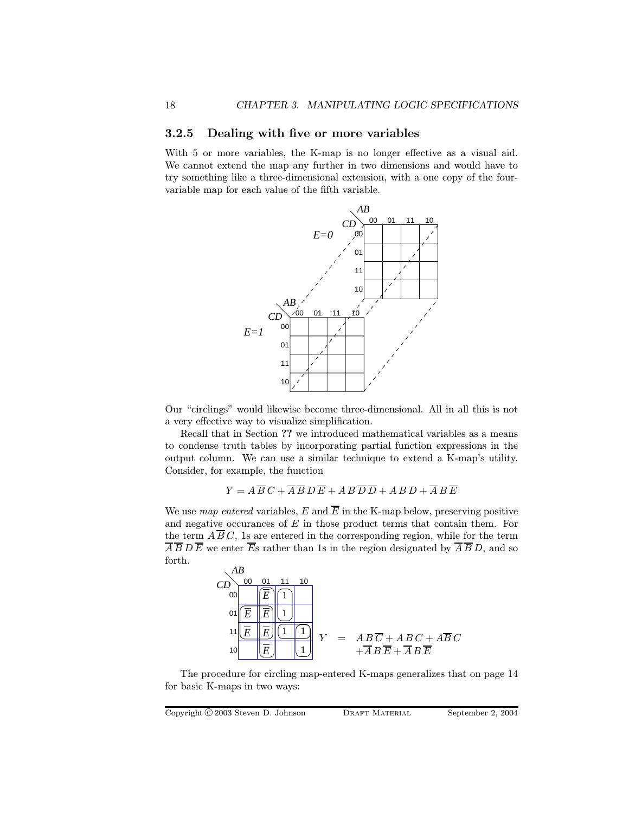#### 3.2.5 Dealing with five or more variables

With 5 or more variables, the K-map is no longer effective as a visual aid. We cannot extend the map any further in two dimensions and would have to try something like a three-dimensional extension, with a one copy of the fourvariable map for each value of the fifth variable.



Our "circlings" would likewise become three-dimensional. All in all this is not a very effective way to visualize simplification.

Recall that in Section ?? we introduced mathematical variables as a means to condense truth tables by incorporating partial function expressions in the output column. We can use a similar technique to extend a K-map's utility. Consider, for example, the function

$$
Y = A \overline{B} C + \overline{A} \overline{B} D \overline{E} + A B \overline{D} \overline{D} + A B D + \overline{A} B \overline{E}
$$

We use map entered variables, E and  $\overline{E}$  in the K-map below, preserving positive and negative occurances of  $E$  in those product terms that contain them. For the term  $\overline{AB}C$ , 1s are entered in the corresponding region, while for the term  $\overline{A} \overline{B} D \overline{E}$  we enter  $\overline{E}$ s rather than 1s in the region designated by  $\overline{A} \overline{B} D$ , and so forth.



The procedure for circling map-entered K-maps generalizes that on page 14 for basic K-maps in two ways:

Copyright C 2003 Steven D. Johnson DRAFT MATERIAL September 2, 2004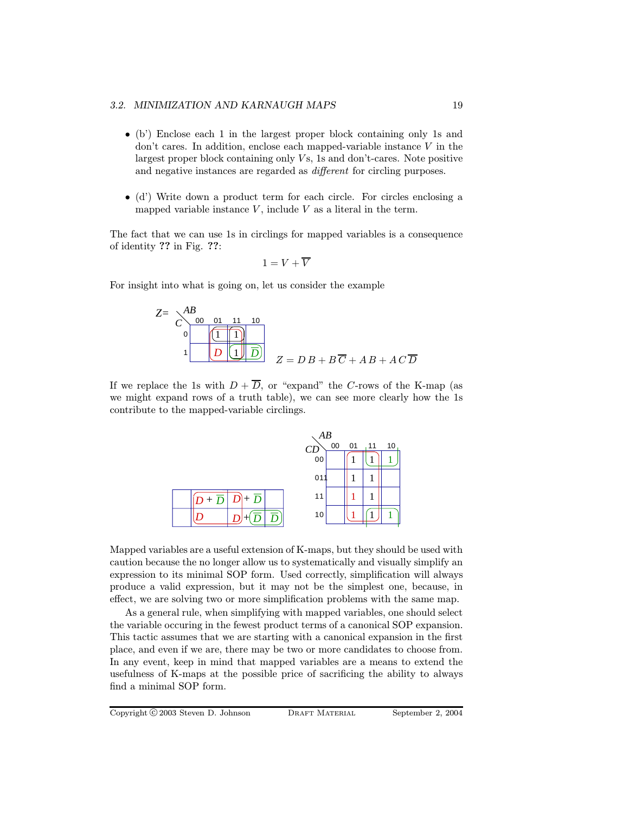#### 3.2. MINIMIZATION AND KARNAUGH MAPS 19

- (b') Enclose each 1 in the largest proper block containing only 1s and don't cares. In addition, enclose each mapped-variable instance  $V$  in the largest proper block containing only  $Vs$ , 1s and don't-cares. Note positive and negative instances are regarded as different for circling purposes.
- (d') Write down a product term for each circle. For circles enclosing a mapped variable instance  $V$ , include  $V$  as a literal in the term.

The fact that we can use 1s in circlings for mapped variables is a consequence of identity ?? in Fig. ??:

$$
1 = V + \overline{V}
$$

For insight into what is going on, let us consider the example

$$
Z = \begin{array}{c}\n\begin{array}{c}\nAB \\
C\n\end{array} & \begin{array}{c}\n00 & 01 & 11 & 10 \\
\hline\n1 & 1\n\end{array}\n\end{array}
$$
\n
$$
I = DB + B\overline{C} + AB + AC\overline{D}
$$

If we replace the 1s with  $D + \overline{D}$ , or "expand" the C-rows of the K-map (as we might expand rows of a truth table), we can see more clearly how the 1s contribute to the mapped-variable circlings.



Mapped variables are a useful extension of K-maps, but they should be used with caution because the no longer allow us to systematically and visually simplify an expression to its minimal SOP form. Used correctly, simplification will always produce a valid expression, but it may not be the simplest one, because, in effect, we are solving two or more simplification problems with the same map.

As a general rule, when simplifying with mapped variables, one should select the variable occuring in the fewest product terms of a canonical SOP expansion. This tactic assumes that we are starting with a canonical expansion in the first place, and even if we are, there may be two or more candidates to choose from. In any event, keep in mind that mapped variables are a means to extend the usefulness of K-maps at the possible price of sacrificing the ability to always find a minimal SOP form.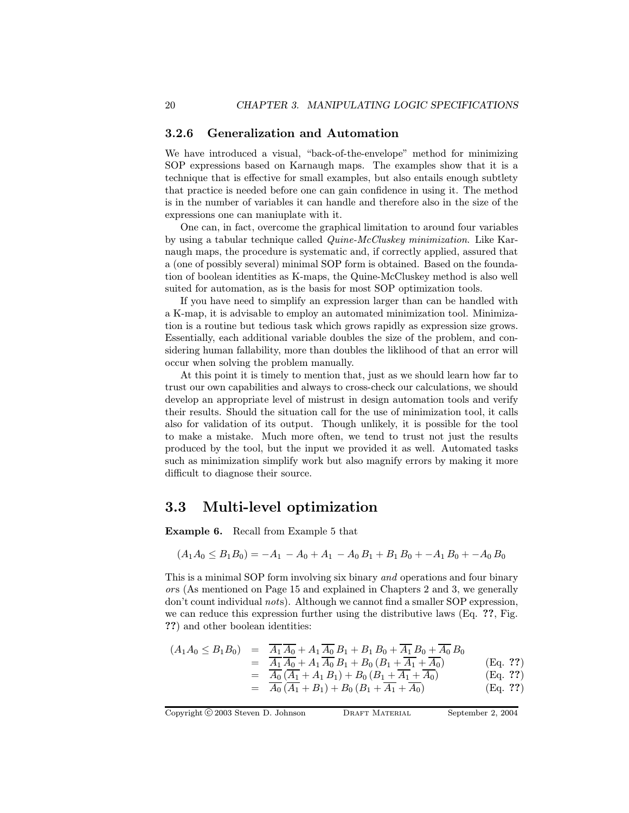#### 3.2.6 Generalization and Automation

We have introduced a visual, "back-of-the-envelope" method for minimizing SOP expressions based on Karnaugh maps. The examples show that it is a technique that is effective for small examples, but also entails enough subtlety that practice is needed before one can gain confidence in using it. The method is in the number of variables it can handle and therefore also in the size of the expressions one can maniuplate with it.

One can, in fact, overcome the graphical limitation to around four variables by using a tabular technique called Quine-McCluskey minimization. Like Karnaugh maps, the procedure is systematic and, if correctly applied, assured that a (one of possibly several) minimal SOP form is obtained. Based on the foundation of boolean identities as K-maps, the Quine-McCluskey method is also well suited for automation, as is the basis for most SOP optimization tools.

If you have need to simplify an expression larger than can be handled with a K-map, it is advisable to employ an automated minimization tool. Minimization is a routine but tedious task which grows rapidly as expression size grows. Essentially, each additional variable doubles the size of the problem, and considering human fallability, more than doubles the liklihood of that an error will occur when solving the problem manually.

At this point it is timely to mention that, just as we should learn how far to trust our own capabilities and always to cross-check our calculations, we should develop an appropriate level of mistrust in design automation tools and verify their results. Should the situation call for the use of minimization tool, it calls also for validation of its output. Though unlikely, it is possible for the tool to make a mistake. Much more often, we tend to trust not just the results produced by the tool, but the input we provided it as well. Automated tasks such as minimization simplify work but also magnify errors by making it more difficult to diagnose their source.

## 3.3 Multi-level optimization

Example 6. Recall from Example 5 that

$$
(A_1A_0 \le B_1B_0) = -A_1 - A_0 + A_1 - A_0B_1 + B_1B_0 + -A_1B_0 + -A_0B_0
$$

This is a minimal SOP form involving six binary and operations and four binary or s (As mentioned on Page 15 and explained in Chapters 2 and 3, we generally don't count individual nots). Although we cannot find a smaller SOP expression, we can reduce this expression further using the distributive laws (Eq. ??, Fig. ??) and other boolean identities:

$$
(A_1 A_0 \leq B_1 B_0) = \frac{\overline{A_1} \overline{A_0} + A_1 \overline{A_0} B_1 + B_1 B_0 + \overline{A_1} B_0 + \overline{A_0} B_0}{\overline{A_1} \overline{A_0} + A_1 \overline{A_0} B_1 + B_0 (B_1 + \overline{A_1} + \overline{A_0})}
$$
(Eq. ??)  
=  $\frac{\overline{A_0} (\overline{A_1} + A_1 B_1) + B_0 (B_1 + \overline{A_1} + \overline{A_0})}{\overline{A_0} (\overline{A_1} + B_1) + B_0 (B_1 + \overline{A_1} + \overline{A_0})}$  (Eq. ??)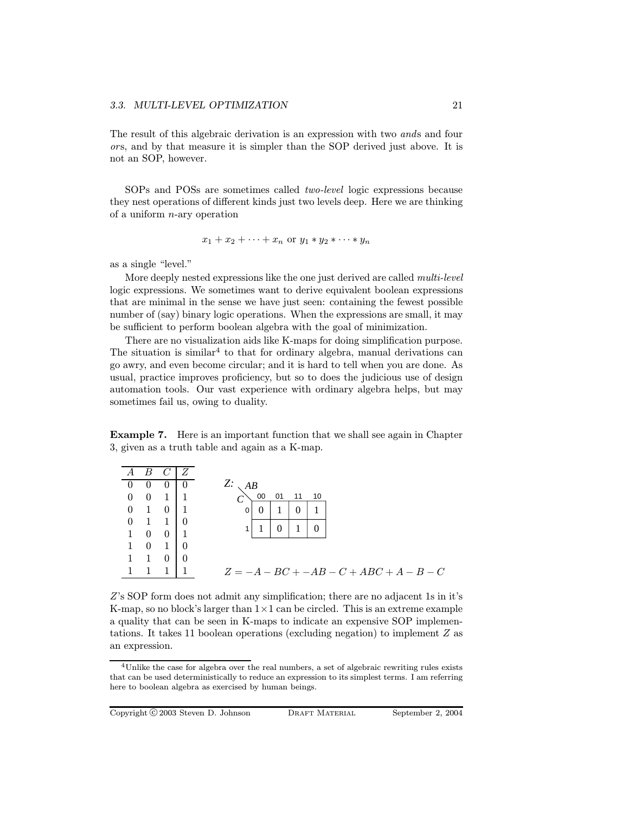The result of this algebraic derivation is an expression with two ands and four ors, and by that measure it is simpler than the SOP derived just above. It is not an SOP, however.

SOPs and POSs are sometimes called two-level logic expressions because they nest operations of different kinds just two levels deep. Here we are thinking of a uniform n-ary operation

$$
x_1 + x_2 + \cdots + x_n \text{ or } y_1 * y_2 * \cdots * y_n
$$

as a single "level."

More deeply nested expressions like the one just derived are called *multi-level* logic expressions. We sometimes want to derive equivalent boolean expressions that are minimal in the sense we have just seen: containing the fewest possible number of (say) binary logic operations. When the expressions are small, it may be sufficient to perform boolean algebra with the goal of minimization.

There are no visualization aids like K-maps for doing simplification purpose. The situation is similar<sup>4</sup> to that for ordinary algebra, manual derivations can go awry, and even become circular; and it is hard to tell when you are done. As usual, practice improves proficiency, but so to does the judicious use of design automation tools. Our vast experience with ordinary algebra helps, but may sometimes fail us, owing to duality.

Example 7. Here is an important function that we shall see again in Chapter 3, given as a truth table and again as a K-map.

| A                | R                        |                | - 7. |                                           |
|------------------|--------------------------|----------------|------|-------------------------------------------|
| U                | $\theta$                 | $\theta$       |      | Z: A B                                    |
| $\theta$         | $\overline{0}$           | $1 \mid 1$     |      | 00<br>10<br>01<br>11                      |
| $\theta$         | $\overline{1}$           | $0 \quad 1$    |      |                                           |
| $\boldsymbol{0}$ | $\overline{1}$           | $1 \quad 0$    |      | $\theta$<br>0                             |
| $\mathbf{1}$     | $\overline{\phantom{0}}$ | $0 \quad 1$    |      |                                           |
|                  | $\overline{0}$           | $\overline{1}$ |      |                                           |
|                  |                          | $\overline{0}$ |      |                                           |
|                  |                          |                |      | $Z = -A - BC + -AB - C + ABC + A - B - C$ |
|                  |                          |                |      |                                           |

Z's SOP form does not admit any simplification; there are no adjacent 1s in it's K-map, so no block's larger than  $1 \times 1$  can be circled. This is an extreme example a quality that can be seen in K-maps to indicate an expensive SOP implementations. It takes 11 boolean operations (excluding negation) to implement Z as an expression.

<sup>&</sup>lt;sup>4</sup>Unlike the case for algebra over the real numbers, a set of algebraic rewriting rules exists that can be used deterministically to reduce an expression to its simplest terms. I am referring here to boolean algebra as exercised by human beings.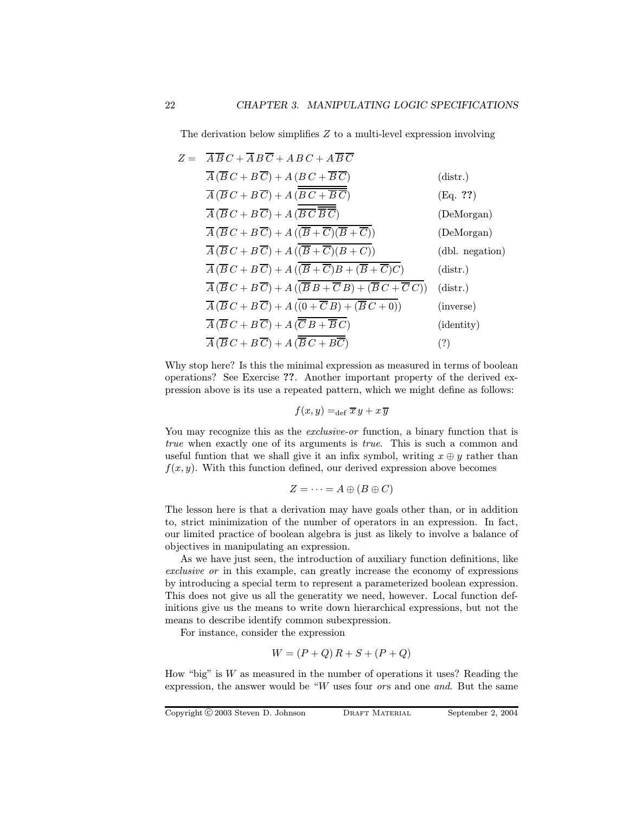The derivation below simplifies Z to a multi-level expression involving

$$
Z = \overline{A} \overline{B} C + \overline{A} B \overline{C} + A B C + A \overline{B} \overline{C}
$$
  
\n
$$
\overline{A} (\overline{B} C + B \overline{C}) + A (\overline{B} C + \overline{B} \overline{C})
$$
(distr.)  
\n
$$
\overline{A} (\overline{B} C + B \overline{C}) + A (\overline{B C + \overline{B} \overline{C}})
$$
(Eq. ??)  
\n
$$
\overline{A} (\overline{B} C + B \overline{C}) + A (\overline{B} \overline{C} \overline{B} \overline{C})
$$
(DeMorgan)  
\n
$$
\overline{A} (\overline{B} C + B \overline{C}) + A (\overline{B + \overline{C})(B + \overline{C}}))
$$
(DeMorgan)  
\n
$$
\overline{A} (\overline{B} C + B \overline{C}) + A (\overline{B + \overline{C})(B + C)})
$$
(dbl. negation)  
\n
$$
\overline{A} (\overline{B} C + B \overline{C}) + A (\overline{B + \overline{C}B + (\overline{B} + \overline{C})C})
$$
(distr.)  
\n
$$
\overline{A} (\overline{B} C + B \overline{C}) + A (\overline{B} B + \overline{C} B) + (\overline{B} C + \overline{C} C))
$$
(distr.)  
\n
$$
\overline{A} (\overline{B} C + B \overline{C}) + A (\overline{B} B + \overline{C} B) + (\overline{B} C + 0))
$$
(inverse)  
\n
$$
\overline{A} (\overline{B} C + B \overline{C}) + A (\overline{B} B + \overline{B} C)
$$
(identity)  
\n
$$
\overline{A} (\overline{B} C + B \overline{C}) + A (\overline{B} C + B \overline{C})
$$
(identity)

Why stop here? Is this the minimal expression as measured in terms of boolean operations? See Exercise ??. Another important property of the derived expression above is its use a repeated pattern, which we might define as follows:

$$
f(x,y) =_{\text{def}} \overline{x} y + x \overline{y}
$$

You may recognize this as the *exclusive-or* function, a binary function that is true when exactly one of its arguments is true. This is such a common and useful funtion that we shall give it an infix symbol, writing  $x \oplus y$  rather than  $f(x, y)$ . With this function defined, our derived expression above becomes

$$
Z = \cdots = A \oplus (B \oplus C)
$$

The lesson here is that a derivation may have goals other than, or in addition to, strict minimization of the number of operators in an expression. In fact, our limited practice of boolean algebra is just as likely to involve a balance of objectives in manipulating an expression.

As we have just seen, the introduction of auxiliary function definitions, like exclusive or in this example, can greatly increase the economy of expressions by introducing a special term to represent a parameterized boolean expression. This does not give us all the generatity we need, however. Local function definitions give us the means to write down hierarchical expressions, but not the means to describe identify common subexpression.

For instance, consider the expression

$$
W = (P + Q) R + S + (P + Q)
$$

How "big" is  $W$  as measured in the number of operations it uses? Reading the expression, the answer would be " $W$  uses four *ors* and one *and*. But the same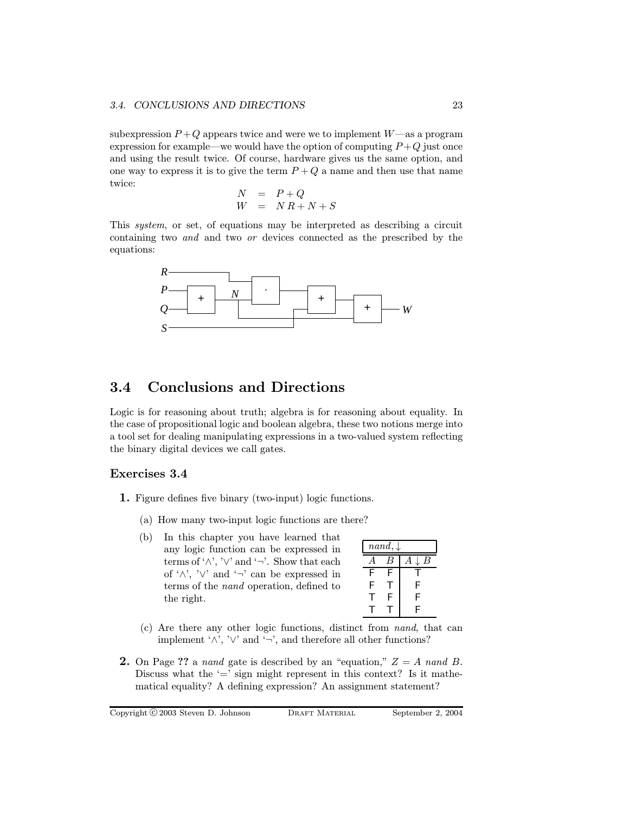#### 3.4. CONCLUSIONS AND DIRECTIONS 23

subexpression  $P+Q$  appears twice and were we to implement  $W$ —as a program expression for example—we would have the option of computing  $P+Q$  just once and using the result twice. Of course, hardware gives us the same option, and one way to express it is to give the term  $P + Q$  a name and then use that name twice:

$$
\begin{array}{rcl}\nN & = & P + Q \\
W & = & NR + N + S\n\end{array}
$$

This system, or set, of equations may be interpreted as describing a circuit containing two and and two or devices connected as the prescribed by the equations:



### 3.4 Conclusions and Directions

Logic is for reasoning about truth; algebra is for reasoning about equality. In the case of propositional logic and boolean algebra, these two notions merge into a tool set for dealing manipulating expressions in a two-valued system reflecting the binary digital devices we call gates.

#### Exercises 3.4

- 1. Figure defines five binary (two-input) logic functions.
	- (a) How many two-input logic functions are there?
	- (b) In this chapter you have learned that any logic function can be expressed in terms of ' $\wedge$ ', ' $\vee$ ' and ' $\neg$ '. Show that each of ' $\wedge$ ', ' $\vee$ ' and ' $\neg$ ' can be expressed in terms of the nand operation, defined to the right.

| $nand, \downarrow$ |                  |   |  |  |
|--------------------|------------------|---|--|--|
|                    | $\boldsymbol{B}$ | В |  |  |
| F                  | F                |   |  |  |
| F                  |                  | F |  |  |
|                    | F                | F |  |  |
|                    |                  | F |  |  |

- (c) Are there any other logic functions, distinct from nand, that can implement ' $\wedge$ ', ' $\vee$ ' and ' $\neg$ ', and therefore all other functions?
- **2.** On Page ?? a nand gate is described by an "equation,"  $Z = A$  nand B. Discuss what the  $\prime =$ ' sign might represent in this context? Is it mathematical equality? A defining expression? An assignment statement?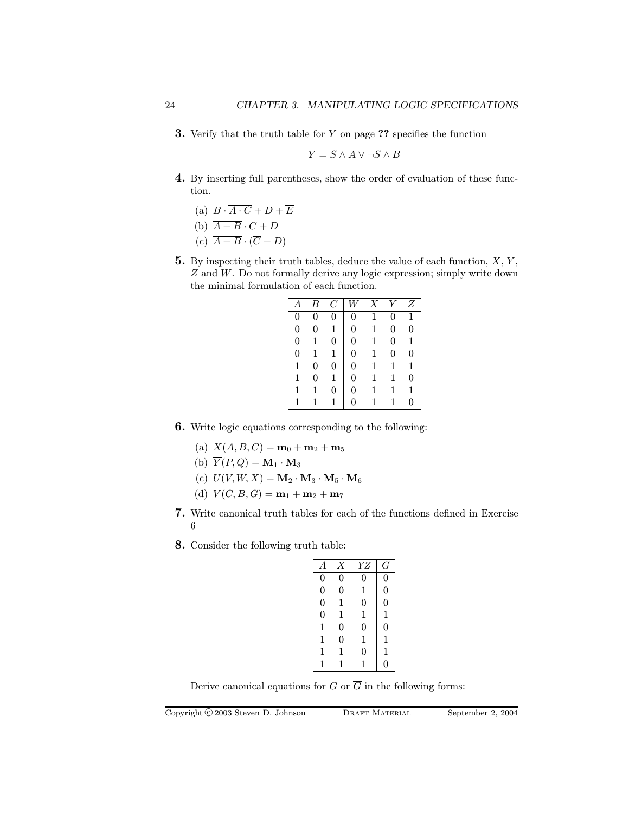**3.** Verify that the truth table for  $Y$  on page  $?$ ? specifies the function

$$
Y = S \land A \lor \neg S \land B
$$

- 4. By inserting full parentheses, show the order of evaluation of these function.
	- (a)  $B \cdot \overline{A \cdot C} + D + \overline{E}$

(b) 
$$
\overline{A+B} \cdot C + D
$$

- (c)  $\overline{A+B} \cdot (\overline{C}+D)$
- **5.** By inspecting their truth tables, deduce the value of each function,  $X, Y$ , Z and W. Do not formally derive any logic expression; simply write down the minimal formulation of each function.

|                |                |                  |                | $\overline{X}$ |              | Ζ        |
|----------------|----------------|------------------|----------------|----------------|--------------|----------|
| 0              | $\overline{0}$ | 0                | $\overline{0}$ | $\overline{1}$ | 0            | 1        |
| 0              | $\overline{0}$ | $\mathbf 1$      | $\overline{0}$ | $\overline{1}$ | 0            | $\theta$ |
| 0              | 1              | $\boldsymbol{0}$ | $\overline{0}$ | $\mathbf{1}$   | 0            | 1        |
| $\overline{0}$ | 1              | 1                | 0              | $\mathbf{1}$   | 0            | 0        |
| 1              | 0              | 0                | 0              | $\overline{1}$ | 1            | 1        |
| 1              | 0              | 1                | 0              | $\mathbf{1}$   | $\mathbf{1}$ | 0        |
| 1              |                | $\Omega$         | 0.             | $\mathbf{1}$   |              | 1        |
|                |                |                  | O              |                |              |          |

- 6. Write logic equations corresponding to the following:
	- (a)  $X(A, B, C) = m_0 + m_2 + m_5$
	- (b)  $\overline{Y}(P,Q) = \mathbf{M}_1 \cdot \mathbf{M}_3$
	- (c)  $U(V, W, X) = \mathbf{M}_2 \cdot \mathbf{M}_3 \cdot \mathbf{M}_5 \cdot \mathbf{M}_6$
	- (d)  $V(C, B, G) = \mathbf{m}_1 + \mathbf{m}_2 + \mathbf{m}_7$
- 7. Write canonical truth tables for each of the functions defined in Exercise 6
- 8. Consider the following truth table:

| $\overline{A}$ | Х              | YZ | G              |
|----------------|----------------|----|----------------|
| 0              | 0              | 0  | 0              |
| $\overline{0}$ | 0              | 1  | 0              |
| $\overline{0}$ | 1              | 0  | $\overline{0}$ |
| $\overline{0}$ | 1              | 1  | 1              |
| 1              | 0              | 0  | $\overline{0}$ |
| 1              | $\overline{0}$ | 1  | 1              |
| 1              | 1              | 0  | 1              |
| 1              | 1              | 1  | 0              |
|                |                |    |                |

Derive canonical equations for G or  $\overline{G}$  in the following forms: